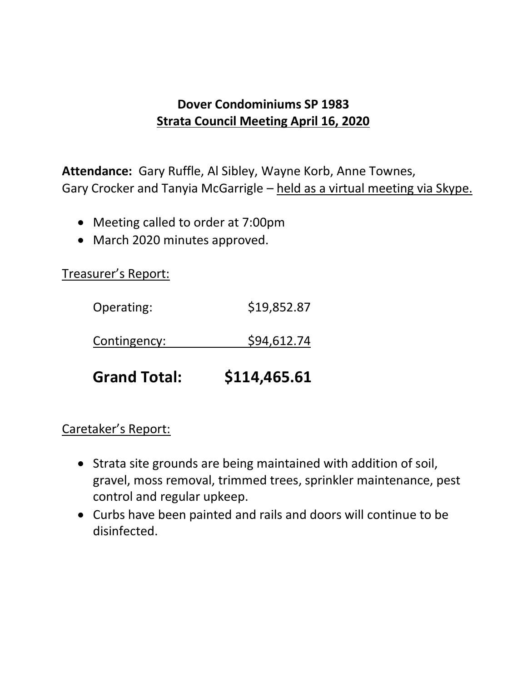## **Dover Condominiums SP 1983 Strata Council Meeting April 16, 2020**

**Attendance:** Gary Ruffle, Al Sibley, Wayne Korb, Anne Townes, Gary Crocker and Tanyia McGarrigle – held as a virtual meeting via Skype.

- Meeting called to order at 7:00pm
- March 2020 minutes approved.

Treasurer's Report:

| <b>Grand Total:</b> | \$114,465.61 |
|---------------------|--------------|
| Contingency:        | \$94,612.74  |
| Operating:          | \$19,852.87  |

## Caretaker's Report:

- Strata site grounds are being maintained with addition of soil, gravel, moss removal, trimmed trees, sprinkler maintenance, pest control and regular upkeep.
- Curbs have been painted and rails and doors will continue to be disinfected.